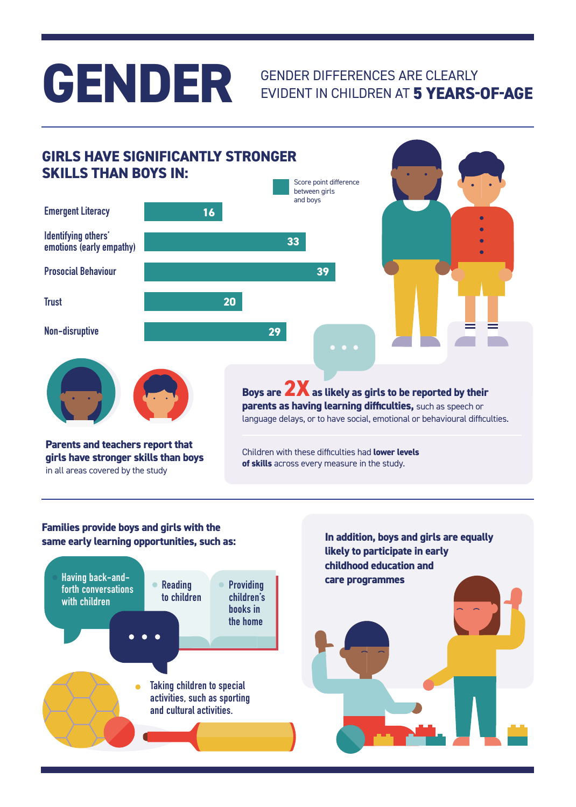### **GENDER**

### GENDER DIFFERENCES ARE CLEARLY EVIDENT IN CHILDREN AT **5 YEARS-OF-AGE**

### **Parents and teachers report that girls have stronger skills than boys**  in all areas covered by the study Boys are **2X** as likely as girls to be reported by their **parents as having learning difficulties,** such as speech or language delays, or to have social, emotional or behavioural difficulties. Children with these difficulties had **lower levels of skills** across every measure in the study. **GIRLS HAVE SIGNIFICANTLY STRONGER SKILLS THAN BOYS IN: Identifying others' emotions (early empathy) Emergent Literacy 16 33 Prosocial Behaviour 39 Trust 20 Non-disruptive 29** Score point difference between girls and boys

#### **Families provide boys and girls with the same early learning opportunities, such as:**



**In addition, boys and girls are equally likely to participate in early childhood education and**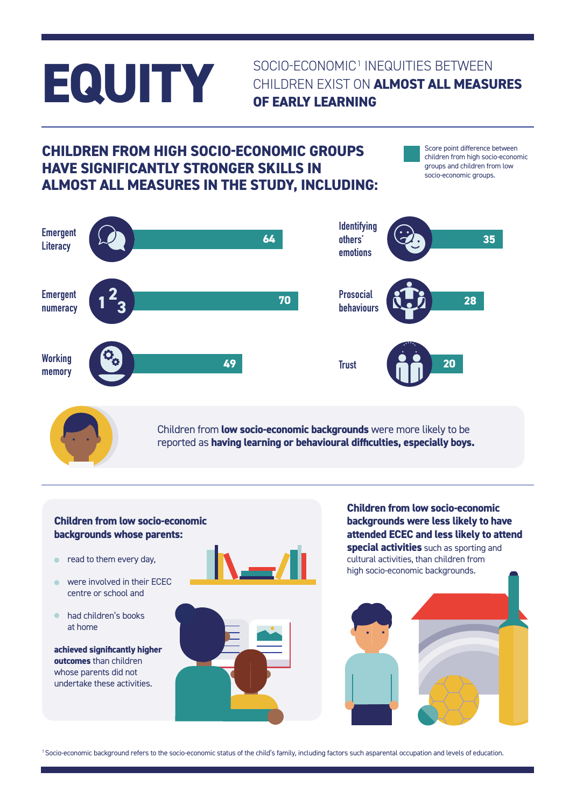## **EQUITY**

### SOCIO-ECONOMIC<sup>1</sup> INEQUITIES BETWEEN CHILDREN EXIST ON **ALMOST ALL MEASURES OF EARLY LEARNING**

### **CHILDREN FROM HIGH SOCIO-ECONOMIC GROUPS HAVE SIGNIFICANTLY STRONGER SKILLS IN ALMOST ALL MEASURES IN THE STUDY, INCLUDING:**

Score point difference between children from high socio-economic groups and children from low socio-economic groups.



Children from **low socio-economic backgrounds** were more likely to be reported as **having learning or behavioural difficulties, especially boys.**

#### **Children from low socio-economic backgrounds whose parents:**

- **•** read to them every day,
- were involved in their ECEC centre or school and
- had children's books at home

**achieved significantly higher outcomes** than children whose parents did not undertake these activities.



**Children from low socio-economic backgrounds were less likely to have attended ECEC and less likely to attend special activities** such as sporting and cultural activities, than children from high socio-economic backgrounds.



1 Socio-economic background refers to the socio-economic status of the child's family, including factors such asparental occupation and levels of education.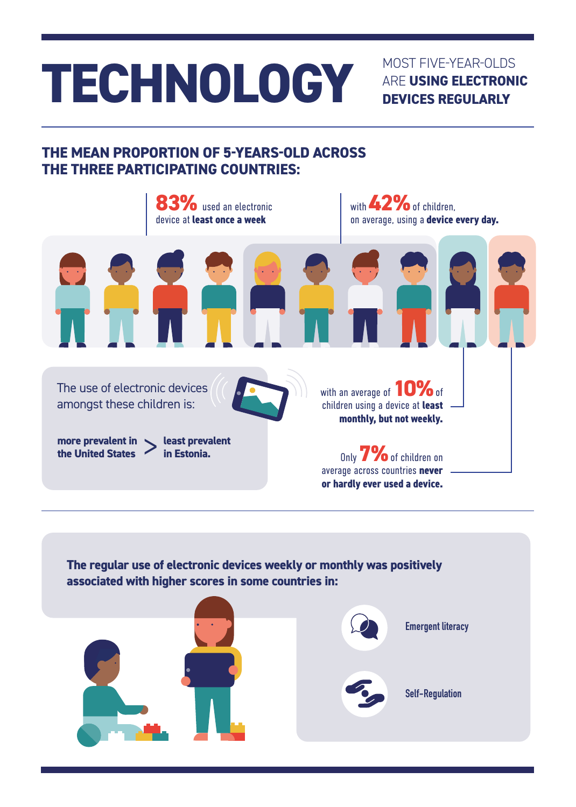# **TECHNOLOGY** MOST FIVE-YEAR-OLDS

ARE **USING ELECTRONIC DEVICES REGULARLY**

### **THE MEAN PROPORTION OF 5-YEARS-OLD ACROSS THE THREE PARTICIPATING COUNTRIES:**



**The regular use of electronic devices weekly or monthly was positively associated with higher scores in some countries in:**

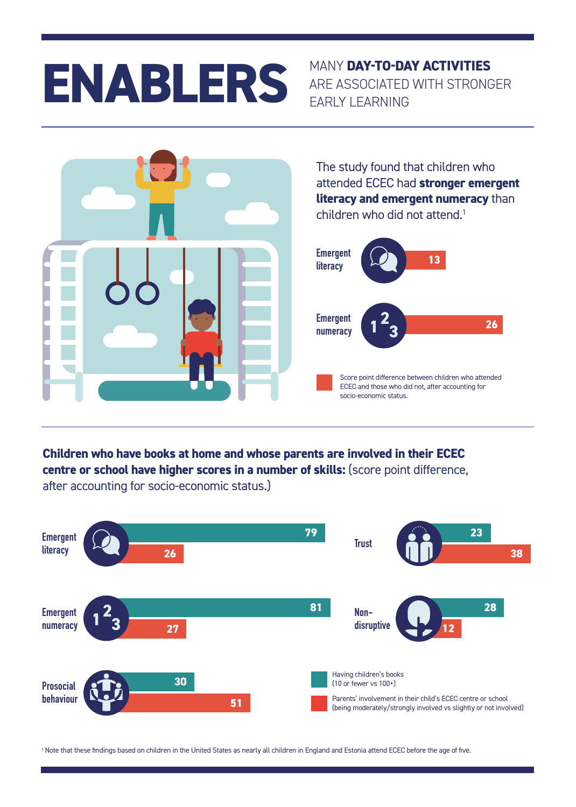# **ENABLERS** MANY DAY-TO-DAY ACTIVITIES

### ARE ASSOCIATED WITH STRONGER EARLY LEARNING



The study found that children who attended ECEC had **stronger emergent literacy and emergent numeracy** than children who did not attend.<sup>1</sup>



**Children who have books at home and whose parents are involved in their ECEC centre or school have higher scores in a number of skills:** (score point difference, after accounting for socio-economic status.)



1 Note that these findings based on children in the United States as nearly all children in England and Estonia attend ECEC before the age of five.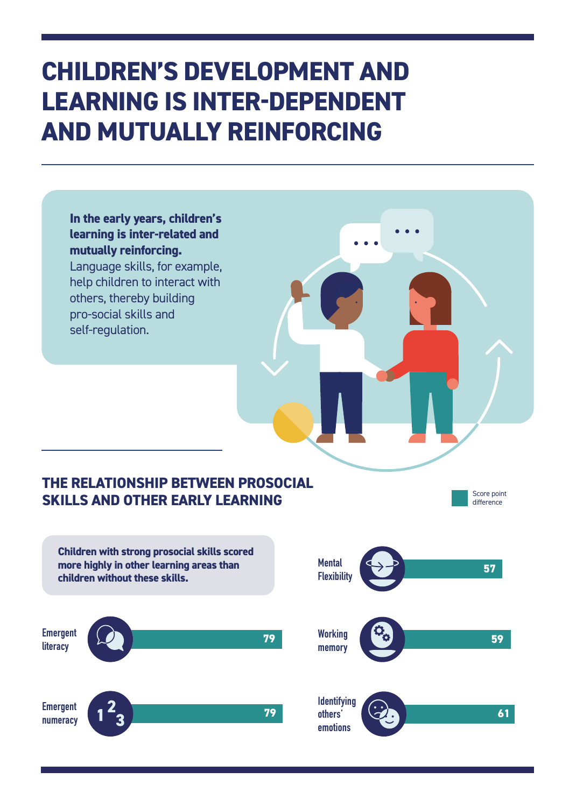### **CHILDREN'S DEVELOPMENT AND LEARNING IS INTER-DEPENDENT AND MUTUALLY REINFORCING**

**In the early years, children's learning is inter-related and mutually reinforcing.**  Language skills, for example, help children to interact with others, thereby building pro-social skills and self-regulation.

#### **THE RELATIONSHIP BETWEEN PROSOCIAL SKILLS AND OTHER EARLY LEARNING**

Score point difference

**Children with strong prosocial skills scored more highly in other learning areas than children without these skills. Emergent literacy <sup>79</sup> Working Emergent numeracy 79**

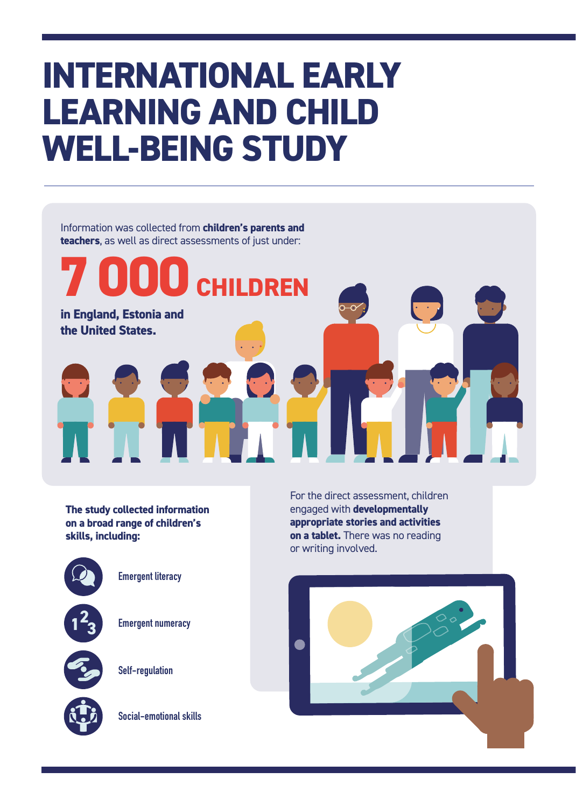### **INTERNATIONAL EARLY LEARNING AND CHILD WELL-BEING STUDY**

Information was collected from **children's parents and teachers**, as well as direct assessments of just under:

**7 000 CHILDREN**

**The study collected information on a broad range of children's skills, including:**

**in England, Estonia and** 

**the United States.** 



**Emergent literacy**

 $1^2$  3 **2**

**Emergent numeracy**

**Self-regulation**

**Social-emotional skills**

For the direct assessment, children engaged with **developmentally appropriate stories and activities on a tablet.** There was no reading or writing involved.